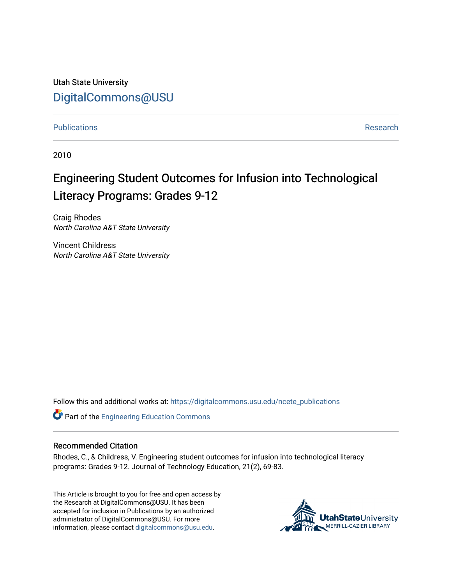Utah State University [DigitalCommons@USU](https://digitalcommons.usu.edu/)

[Publications](https://digitalcommons.usu.edu/ncete_publications) **Research** 

2010

# Engineering Student Outcomes for Infusion into Technological Literacy Programs: Grades 9-12

Craig Rhodes North Carolina A&T State University

Vincent Childress North Carolina A&T State University

Follow this and additional works at: [https://digitalcommons.usu.edu/ncete\\_publications](https://digitalcommons.usu.edu/ncete_publications?utm_source=digitalcommons.usu.edu%2Fncete_publications%2F60&utm_medium=PDF&utm_campaign=PDFCoverPages) 

Part of the [Engineering Education Commons](http://network.bepress.com/hgg/discipline/1191?utm_source=digitalcommons.usu.edu%2Fncete_publications%2F60&utm_medium=PDF&utm_campaign=PDFCoverPages) 

## Recommended Citation

Rhodes, C., & Childress, V. Engineering student outcomes for infusion into technological literacy programs: Grades 9-12. Journal of Technology Education, 21(2), 69-83.

This Article is brought to you for free and open access by the Research at DigitalCommons@USU. It has been accepted for inclusion in Publications by an authorized administrator of DigitalCommons@USU. For more information, please contact [digitalcommons@usu.edu](mailto:digitalcommons@usu.edu).

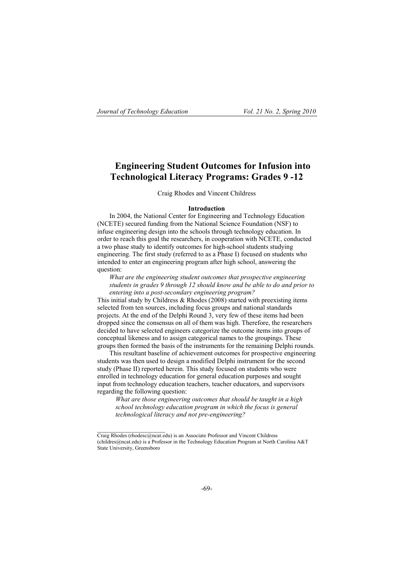# **Engineering Student Outcomes for Infusion into Technological Literacy Programs: Grades 9 -12**

Craig Rhodes and Vincent Childress

#### **Introduction**

In 2004, the National Center for Engineering and Technology Education (NCETE) secured funding from the National Science Foundation (NSF) to infuse engineering design into the schools through technology education. In order to reach this goal the researchers, in cooperation with NCETE, conducted a two phase study to identify outcomes for high-school students studying engineering. The first study (referred to as a Phase I) focused on students who intended to enter an engineering program after high school, answering the question:

*What are the engineering student outcomes that prospective engineering students in grades 9 through 12 should know and be able to do and prior to entering into a post-secondary engineering program?*

This initial study by Childress  $\&$  Rhodes (2008) started with preexisting items selected from ten sources, including focus groups and national standards projects. At the end of the Delphi Round 3, very few of these items had been dropped since the consensus on all of them was high. Therefore, the researchers decided to have selected engineers categorize the outcome items into groups of conceptual likeness and to assign categorical names to the groupings. These groups then formed the basis of the instruments for the remaining Delphi rounds.

This resultant baseline of achievement outcomes for prospective engineering students was then used to design a modified Delphi instrument for the second study (Phase II) reported herein. This study focused on students who were enrolled in technology education for general education purposes and sought input from technology education teachers, teacher educators, and supervisors regarding the following question:

*What are those engineering outcomes that should be taught in a high school technology education program in which the focus is general technological literacy and not pre-engineering?*

Craig Rhodes (rhodesc@ncat.edu) is an Associate Professor and Vincent Childress (childres@ncat.edu) is a Professor in the Technology Education Program at North Carolina A&T State University, Greensboro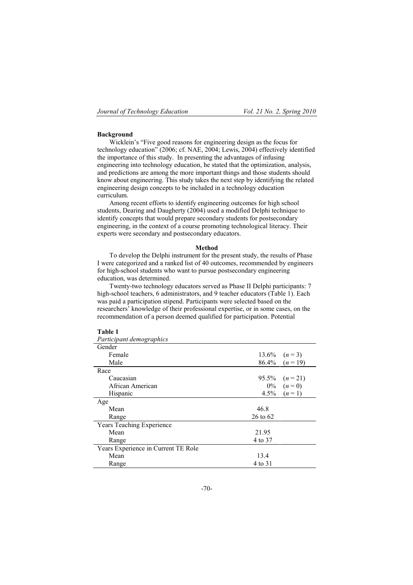### **Background**

Wicklein's "Five good reasons for engineering design as the focus for technology education" (2006; cf. NAE, 2004; Lewis, 2004) effectively identified the importance of this study. In presenting the advantages of infusing engineering into technology education, he stated that the optimization, analysis, and predictions are among the more important things and those students should know about engineering. This study takes the next step by identifying the related engineering design concepts to be included in a technology education curriculum.

Among recent efforts to identify engineering outcomes for high school students, Dearing and Daugherty (2004) used a modified Delphi technique to identify concepts that would prepare secondary students for postsecondary engineering, in the context of a course promoting technological literacy. Their experts were secondary and postsecondary educators.

#### **Method**

To develop the Delphi instrument for the present study, the results of Phase I were categorized and a ranked list of 40 outcomes, recommended by engineers for high-school students who want to pursue postsecondary engineering education, was determined.

Twenty-two technology educators served as Phase II Delphi participants: 7 high-school teachers, 6 administrators, and 9 teacher educators (Table 1). Each was paid a participation stipend. Participants were selected based on the researchers' knowledge of their professional expertise, or in some cases, on the recommendation of a person deemed qualified for participation. Potential

### **Table 1**

| Participant demographics            |          |                     |
|-------------------------------------|----------|---------------------|
| Gender                              |          |                     |
| Female                              |          | 13.6% $(n=3)$       |
| Male                                |          | $86.4\%$ $(n = 19)$ |
| Race                                |          |                     |
| Caucasian                           | 95.5%    | $(n=21)$            |
| African American                    |          | $0\%$ $(n=0)$       |
| Hispanic                            | $4.5\%$  | $(n=1)$             |
| Age                                 |          |                     |
| Mean                                | 46.8     |                     |
| Range                               | 26 to 62 |                     |
| Years Teaching Experience           |          |                     |
| Mean                                | 21.95    |                     |
| Range                               | 4 to 37  |                     |
| Years Experience in Current TE Role |          |                     |
| Mean                                | 13.4     |                     |
| Range                               | 4 to 31  |                     |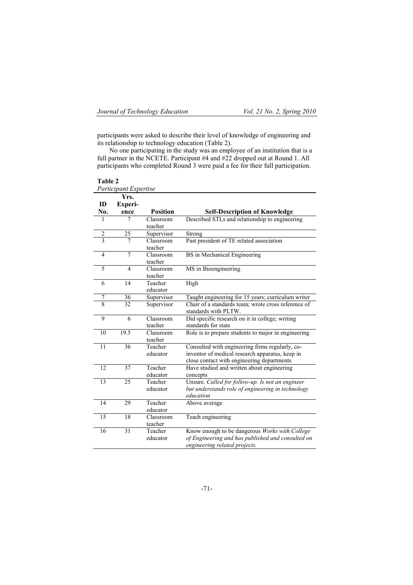participants were asked to describe their level of knowledge of engineering and its relationship to technology education (Table 2).

No one participating in the study was an employee of an institution that is a full partner in the NCETE. Participant #4 and #22 dropped out at Round 1. All participants who completed Round 3 were paid a fee for their full participation.

| Table 2          |                       |                     |                                                                                                    |
|------------------|-----------------------|---------------------|----------------------------------------------------------------------------------------------------|
|                  | Participant Expertise |                     |                                                                                                    |
|                  | Yrs.                  |                     |                                                                                                    |
| ID               | Experi-               |                     |                                                                                                    |
| No.              | ence                  | <b>Position</b>     | <b>Self-Description of Knowledge</b>                                                               |
| 1                | 7                     | Classroom           | Described STLs and relationship to engineering                                                     |
|                  |                       | teacher             |                                                                                                    |
| $\overline{c}$   | 25                    | Supervisor          | Strong                                                                                             |
| $\overline{3}$   | 7                     | Classroom           | Past president of TE related association                                                           |
|                  |                       | teacher             |                                                                                                    |
| 4                | 7                     | Classroom           | BS in Mechanical Engineering                                                                       |
|                  |                       | teacher             |                                                                                                    |
| 5                | 4                     | Classroom           | MS in Bioengineering                                                                               |
|                  |                       | teacher             |                                                                                                    |
| 6                | 14                    | Teacher             | High                                                                                               |
|                  |                       | educator            |                                                                                                    |
| $\boldsymbol{7}$ | 36                    | Supervisor          | Taught engineering for 15 years; curriculum writer                                                 |
| $\overline{8}$   | 32                    | Supervisor          | Chair of a standards team; wrote cross reference of<br>standards with PLTW.                        |
| 9                | 6                     | Classroom           | Did specific research on it in college; writing                                                    |
|                  |                       | teacher             | standards for state                                                                                |
| 10               | 19.5                  | Classroom           | Role is to prepare students to major in engineering                                                |
|                  |                       | teacher             |                                                                                                    |
| 11               | 36                    | Teacher<br>educator | Consulted with engineering firms regularly, co-<br>inventor of medical research apparatus, keep in |
|                  |                       |                     | close contact with engineering departments                                                         |
| 12               | 37                    | Teacher             | Have studied and written about engineering                                                         |
|                  |                       | educator            | concepts                                                                                           |
| 13               | 25                    | Teacher             | Unsure. Called for follow-up. Is not an engineer                                                   |
|                  |                       | educator            | but understands role of engineering in technology<br>education                                     |
| 14               | 29                    | Teacher             | Above average                                                                                      |
|                  |                       | educator            |                                                                                                    |
| 15               | 18                    | Classroom           | Teach engineering                                                                                  |
|                  |                       | teacher             |                                                                                                    |
| 16               | 31                    | Teacher             | Know enough to be dangerous Works with College                                                     |
|                  |                       | educator            | of Engineering and has published and consulted on                                                  |
|                  |                       |                     | engineering related projects.                                                                      |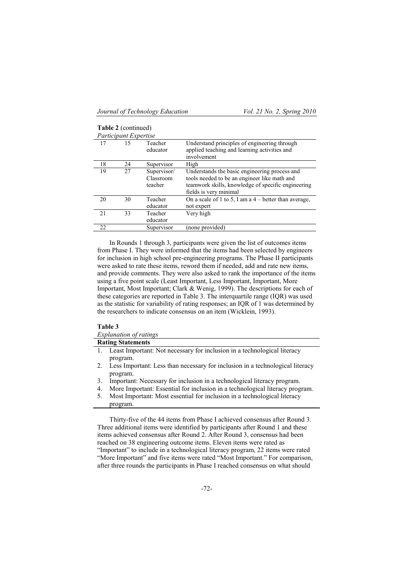**Table 2** (continued)

|    | <b>Lable</b> $\angle$ (continued) |                     |                                                                                              |  |  |  |  |
|----|-----------------------------------|---------------------|----------------------------------------------------------------------------------------------|--|--|--|--|
|    | Participant Expertise             |                     |                                                                                              |  |  |  |  |
| 17 | 15                                | Teacher<br>educator | Understand principles of engineering through<br>applied teaching and learning activities and |  |  |  |  |
|    |                                   |                     | involvement                                                                                  |  |  |  |  |
| 18 | 24                                | Supervisor          | High                                                                                         |  |  |  |  |
| 19 | 27                                | Supervisor/         | Understands the basic engineering process and                                                |  |  |  |  |
|    |                                   | Classroom           | tools needed to be an engineer like math and                                                 |  |  |  |  |
|    |                                   | teacher             | teamwork skills, knowledge of specific engineering                                           |  |  |  |  |
|    |                                   |                     | fields is very minimal                                                                       |  |  |  |  |
| 20 | 30                                | Teacher             | On a scale of 1 to 5, I am a $4$ – better than average,                                      |  |  |  |  |
|    |                                   | educator            | not expert                                                                                   |  |  |  |  |
| 21 | 33                                | Teacher             | Very high                                                                                    |  |  |  |  |
|    |                                   | educator            |                                                                                              |  |  |  |  |
| 22 |                                   | Supervisor          | (none provided)                                                                              |  |  |  |  |

In Rounds 1 through 3, participants were given the list of outcomes items from Phase I. They were informed that the items had been selected by engineers for inclusion in high school pre-engineering programs. The Phase II participants were asked to rate these items, reword them if needed, add and rate new items, and provide comments. They were also asked to rank the importance of the items using a five point scale (Least Important, Less Important, Important, More Important, Most Important; Clark & Wenig, 1999). The descriptions for each of these categories are reported in Table 3. The interquartile range (IQR) was used as the statistic for variability of rating responses; an IQR of 1 was determined by the researchers to indicate consensus on an item (Wicklein, 1993).

#### **Table 3**

|                | <i>Explanation of ratings</i>                                                                |
|----------------|----------------------------------------------------------------------------------------------|
|                | <b>Rating Statements</b>                                                                     |
|                | 1. Least Important: Not necessary for inclusion in a technological literacy<br>program.      |
|                | 2. Less Important: Less than necessary for inclusion in a technological literacy<br>program. |
| 3 <sub>1</sub> | Important: Necessary for inclusion in a technological literacy program.                      |
| 4.             | More Important: Essential for inclusion in a technological literacy program.                 |
| 5.             | Most Important: Most essential for inclusion in a technological literacy<br>program.         |
|                |                                                                                              |

Thirty-five of the 44 items from Phase I achieved consensus after Round 3. Three additional items were identified by participants after Round 1 and these items achieved consensus after Round 2. After Round 3, consensus had been reached on 38 engineering outcome items. Eleven items were rated as "Important" to include in a technological literacy program, 22 items were rated "More Important" and five items were rated "Most Important." For comparison, after three rounds the participants in Phase I reached consensus on what should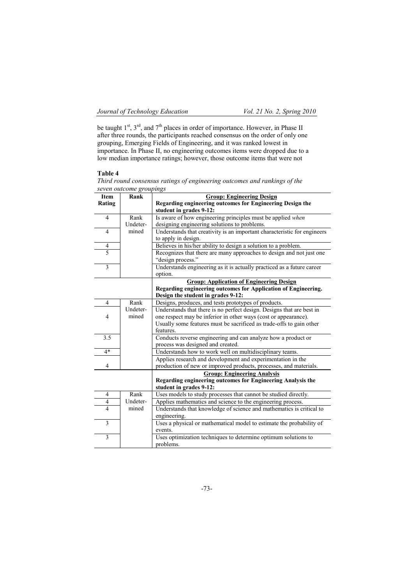be taught  $1^{st}$ ,  $3^{rd}$ , and  $7^{th}$  places in order of importance. However, in Phase II after three rounds, the participants reached consensus on the order of only one grouping, Emerging Fields of Engineering, and it was ranked lowest in importance. In Phase II, no engineering outcomes items were dropped due to a low median importance ratings; however, those outcome items that were not

### **Table 4**

*Third round consensus ratings of engineering outcomes and rankings of the seven outcome groupings*

| Item           | Rank     | <b>Group: Engineering Design</b>                                                           |
|----------------|----------|--------------------------------------------------------------------------------------------|
| Rating         |          | Regarding engineering outcomes for Engineering Design the                                  |
|                |          | student in grades 9-12:                                                                    |
| $\overline{4}$ | Rank     | Is aware of how engineering principles must be applied when                                |
|                | Undeter- | designing engineering solutions to problems.                                               |
| $\overline{4}$ | mined    | Understands that creativity is an important characteristic for engineers                   |
|                |          | to apply in design.                                                                        |
| 4              |          | Believes in his/her ability to design a solution to a problem.                             |
| 5              |          | Recognizes that there are many approaches to design and not just one                       |
|                |          | "design process."                                                                          |
| $\overline{3}$ |          | Understands engineering as it is actually practiced as a future career                     |
|                |          | option.                                                                                    |
|                |          | <b>Group: Application of Engineering Design</b>                                            |
|                |          | Regarding engineering outcomes for Application of Engineering.                             |
|                |          | Design the student in grades 9-12:                                                         |
| $\overline{4}$ | Rank     | Designs, produces, and tests prototypes of products.                                       |
|                | Undeter- | Understands that there is no perfect design. Designs that are best in                      |
| 4              | mined    | one respect may be inferior in other ways (cost or appearance).                            |
|                |          | Usually some features must be sacrificed as trade-offs to gain other                       |
|                |          | features.                                                                                  |
| 3.5            |          | Conducts reverse engineering and can analyze how a product or                              |
|                |          | process was designed and created.                                                          |
| $4*$           |          | Understands how to work well on multidisciplinary teams.                                   |
|                |          | Applies research and development and experimentation in the                                |
| $\overline{4}$ |          | production of new or improved products, processes, and materials.                          |
|                |          | <b>Group: Engineering Analysis</b>                                                         |
|                |          | Regarding engineering outcomes for Engineering Analysis the                                |
| 4              | Rank     | student in grades 9-12:<br>Uses models to study processes that cannot be studied directly. |
| 4              | Undeter- | Applies mathematics and science to the engineering process.                                |
| $\overline{4}$ | mined    | Understands that knowledge of science and mathematics is critical to                       |
|                |          | engineering.                                                                               |
| $\overline{3}$ |          | Uses a physical or mathematical model to estimate the probability of                       |
|                |          | events.                                                                                    |
| $\overline{3}$ |          | Uses optimization techniques to determine optimum solutions to                             |
|                |          | problems.                                                                                  |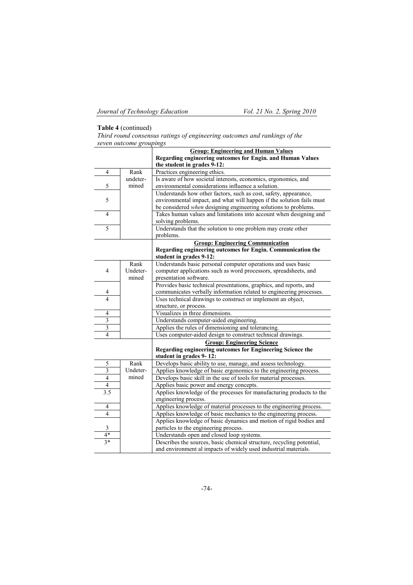# **Table 4** (continued)

| Third round consensus ratings of engineering outcomes and rankings of the |  |  |
|---------------------------------------------------------------------------|--|--|
| seven outcome groupings                                                   |  |  |

|                         |          | <b>Group: Engineering and Human Values</b>                            |
|-------------------------|----------|-----------------------------------------------------------------------|
|                         |          | Regarding engineering outcomes for Engin. and Human Values            |
|                         |          | the student in grades 9-12:                                           |
| 4                       | Rank     | Practices engineering ethics.                                         |
|                         | undeter- | Is aware of how societal interests, economics, ergonomics, and        |
| 5                       | mined    | environmental considerations influence a solution.                    |
|                         |          | Understands how other factors, such as cost, safety, appearance,      |
| 5                       |          | environmental impact, and what will happen if the solution fails must |
|                         |          | be considered when designing engineering solutions to problems.       |
| 4                       |          | Takes human values and limitations into account when designing and    |
|                         |          | solving problems.                                                     |
| 5                       |          | Understands that the solution to one problem may create other         |
|                         |          | problems.                                                             |
|                         |          | <b>Group: Engineering Communication</b>                               |
|                         |          | Regarding engineering outcomes for Engin. Communication the           |
|                         |          | student in grades 9-12:                                               |
|                         | Rank     | Understands basic personal computer operations and uses basic         |
| 4                       | Undeter- | computer applications such as word processors, spreadsheets, and      |
|                         | mined    | presentation software.                                                |
|                         |          | Provides basic technical presentations, graphics, and reports, and    |
| 4                       |          | communicates verbally information related to engineering processes.   |
| $\overline{4}$          |          | Uses technical drawings to construct or implement an object,          |
|                         |          | structure, or process.                                                |
| 4                       |          | Visualizes in three dimensions.                                       |
| $\overline{\mathbf{3}}$ |          | Understands computer-aided engineering.                               |
| $\overline{\mathbf{3}}$ |          | Applies the rules of dimensioning and tolerancing.                    |
| $\overline{4}$          |          | Uses computer-aided design to construct technical drawings.           |
|                         |          | <b>Group: Engineering Science</b>                                     |
|                         |          | Regarding engineering outcomes for Engineering Science the            |
|                         |          | student in grades 9-12:                                               |
| 5                       | Rank     | Develops basic ability to use, manage, and assess technology.         |
| 3                       | Undeter- | Applies knowledge of basic ergonomics to the engineering process.     |
| $\overline{4}$          | mined    | Develops basic skill in the use of tools for material processes.      |
| 4                       |          | Applies basic power and energy concepts.                              |
| 3.5                     |          | Applies knowledge of the processes for manufacturing products to the  |
|                         |          | engineering process.                                                  |
| 4                       |          | Applies knowledge of material processes to the engineering process.   |
| 4                       |          | Applies knowledge of basic mechanics to the engineering process.      |
|                         |          | Applies knowledge of basic dynamics and motion of rigid bodies and    |
| 3                       |          | particles to the engineering process.                                 |
| $4*$                    |          | Understands open and closed loop systems.                             |
| $3*$                    |          | Describes the sources, basic chemical structure, recycling potential, |
|                         |          | and environment al impacts of widely used industrial materials.       |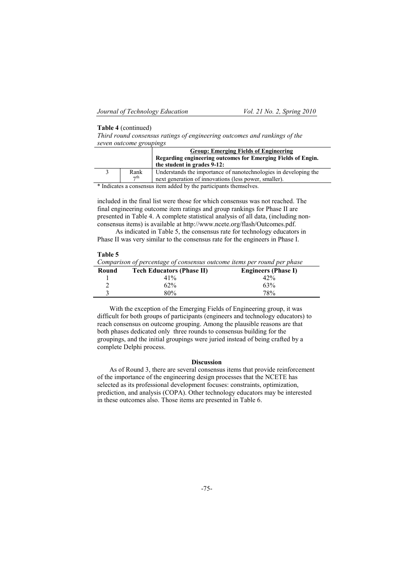#### **Table 4** (continued)

*Third round consensus ratings of engineering outcomes and rankings of the seven outcome groupings*

|           | <b>Group: Emerging Fields of Engineering</b>                     |
|-----------|------------------------------------------------------------------|
|           | Regarding engineering outcomes for Emerging Fields of Engin.     |
|           | the student in grades 9-12:                                      |
| Rank      | Understands the importance of nanotechnologies in developing the |
| $\tau$ th | next generation of innovations (less power, smaller).            |

\* Indicates a consensus item added by the participants themselves.

included in the final list were those for which consensus was not reached. The final engineering outcome item ratings and group rankings for Phase II are presented in Table 4. A complete statistical analysis of all data, (including nonconsensus items) is available at http://www.ncete.org/flash/Outcomes.pdf.

As indicated in Table 5, the consensus rate for technology educators in Phase II was very similar to the consensus rate for the engineers in Phase I.

#### **Table 5**

| $\mathbf{r}$ and $\mathbf{r}$<br>Comparison of percentage of consensus outcome items per round per phase |                                  |                            |  |  |  |  |  |
|----------------------------------------------------------------------------------------------------------|----------------------------------|----------------------------|--|--|--|--|--|
| Round                                                                                                    | <b>Tech Educators (Phase II)</b> | <b>Engineers (Phase I)</b> |  |  |  |  |  |
|                                                                                                          | 41%                              | 42%                        |  |  |  |  |  |
|                                                                                                          | 62%                              | 63%                        |  |  |  |  |  |
|                                                                                                          | 80%                              | 78%                        |  |  |  |  |  |

With the exception of the Emerging Fields of Engineering group, it was difficult for both groups of participants (engineers and technology educators) to reach consensus on outcome grouping. Among the plausible reasons are that both phases dedicated only three rounds to consensus building for the groupings, and the initial groupings were juried instead of being crafted by a complete Delphi process.

#### **Discussion**

As of Round 3, there are several consensus items that provide reinforcement of the importance of the engineering design processes that the NCETE has selected as its professional development focuses: constraints, optimization, prediction, and analysis (COPA). Other technology educators may be interested in these outcomes also. Those items are presented in Table 6.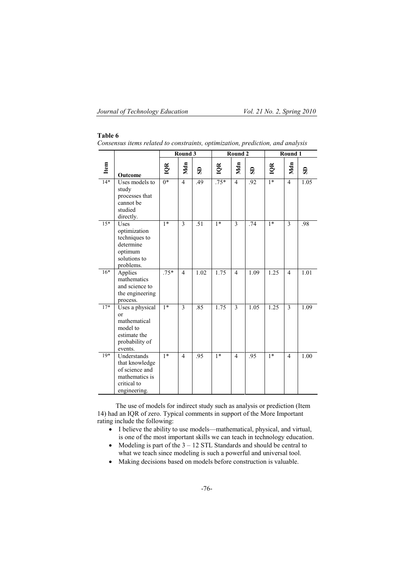# **Table 6**

|       |                                                                                                  | Round 3          |                | <b>Round 2</b> |        |                | Round 1 |      |                |      |
|-------|--------------------------------------------------------------------------------------------------|------------------|----------------|----------------|--------|----------------|---------|------|----------------|------|
| Item  | Outcome                                                                                          | IQR              | Mdn            | $\mathbf{s}$   | IQR    | Mdn            | G       | IQR  | Mdn            | SD   |
| $14*$ | Uses models to<br>study<br>processes that<br>cannot be<br>studied<br>directly.                   | $\overline{0^*}$ | $\overline{4}$ | .49            | $.75*$ | $\overline{4}$ | .92     | $1*$ | $\overline{4}$ | 1.05 |
| $15*$ | Uses<br>optimization<br>techniques to<br>determine<br>optimum<br>solutions to<br>problems.       | $1*$             | 3              | .51            | $1*$   | 3              | .74     | $1*$ | 3              | .98  |
| $16*$ | Applies<br>mathematics<br>and science to<br>the engineering<br>process.                          | $.75*$           | $\overline{4}$ | 1.02           | 1.75   | $\overline{4}$ | 1.09    | 1.25 | $\overline{4}$ | 1.01 |
| $17*$ | Uses a physical<br>or<br>mathematical<br>model to<br>estimate the<br>probability of<br>events.   | $\overline{1*}$  | 3              | .85            | 1.75   | 3              | 1.05    | 1.25 | 3              | 1.09 |
| $19*$ | Understands<br>that knowledge<br>of science and<br>mathematics is<br>critical to<br>engineering. | $1*$             | $\overline{4}$ | .95            | $1*$   | 4              | .95     | $1*$ | $\overline{4}$ | 1.00 |

*Consensus items related to constraints, optimization, prediction, and analysis*

The use of models for indirect study such as analysis or prediction (Item 14) had an IQR of zero. Typical comments in support of the More Important rating include the following:

- I believe the ability to use models—mathematical, physical, and virtual, is one of the most important skills we can teach in technology education.
- Modeling is part of the  $3 12$  STL Standards and should be central to what we teach since modeling is such a powerful and universal tool.
- Making decisions based on models before construction is valuable.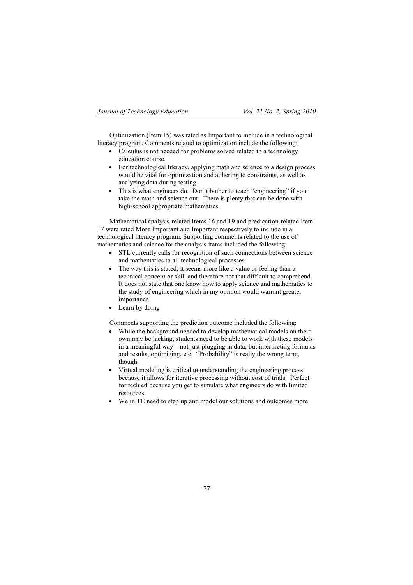Optimization (Item 15) was rated as Important to include in a technological literacy program. Comments related to optimization include the following:

- Calculus is not needed for problems solved related to a technology education course.
- For technological literacy, applying math and science to a design process would be vital for optimization and adhering to constraints, as well as analyzing data during testing.
- This is what engineers do. Don't bother to teach "engineering" if you take the math and science out. There is plenty that can be done with high-school appropriate mathematics.

Mathematical analysis-related Items 16 and 19 and predication-related Item 17 were rated More Important and Important respectively to include in a technological literacy program. Supporting comments related to the use of mathematics and science for the analysis items included the following:

- STL currently calls for recognition of such connections between science and mathematics to all technological processes.
- The way this is stated, it seems more like a value or feeling than a technical concept or skill and therefore not that difficult to comprehend. It does not state that one know how to apply science and mathematics to the study of engineering which in my opinion would warrant greater importance.
- Learn by doing

Comments supporting the prediction outcome included the following:

- While the background needed to develop mathematical models on their own may be lacking, students need to be able to work with these models in a meaningful way—not just plugging in data, but interpreting formulas and results, optimizing, etc. "Probability" is really the wrong term, though.
- Virtual modeling is critical to understanding the engineering process because it allows for iterative processing without cost of trials. Perfect for tech ed because you get to simulate what engineers do with limited resources.
- We in TE need to step up and model our solutions and outcomes more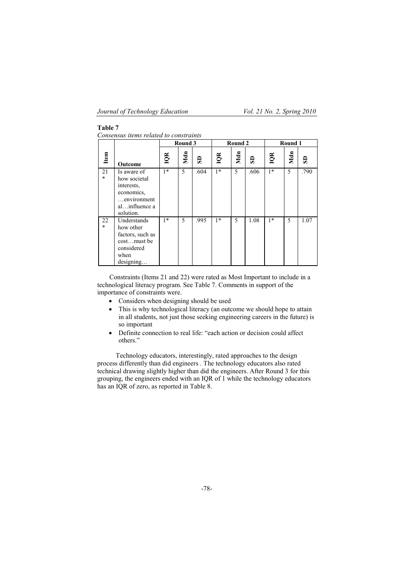## **Table 7**

*Consensus items related to constraints*

|              |                                                                                                      | Round 3 |     |      | Round 2 |     |      | Round 1 |     |      |
|--------------|------------------------------------------------------------------------------------------------------|---------|-----|------|---------|-----|------|---------|-----|------|
| Item         | Outcome                                                                                              | IQR     | Mdn | G    | IQR     | Mdn | G    | IQR     | Mdn | Э    |
| 21<br>$\ast$ | Is aware of<br>how societal<br>interests.<br>economics,<br>environment<br>alinfluence a<br>solution. | $1*$    | 5   | .604 | $1*$    | 5   | .606 | $1*$    | 5   | .790 |
| 22<br>$\ast$ | Understands<br>how other<br>factors, such as<br>costmust be<br>considered<br>when<br>designing       | $1*$    | 5   | .995 | $1*$    | 5   | 1.08 | $1*$    | 5   | 1.07 |

Constraints (Items 21 and 22) were rated as Most Important to include in a technological literacy program. See Table 7. Comments in support of the importance of constraints were.

- Considers when designing should be used
- This is why technological literacy (an outcome we should hope to attain in all students, not just those seeking engineering careers in the future) is so important
- Definite connection to real life: "each action or decision could affect others."

Technology educators, interestingly, rated approaches to the design process differently than did engineers . The technology educators also rated technical drawing slightly higher than did the engineers. After Round 3 for this grouping, the engineers ended with an IQR of 1 while the technology educators has an IQR of zero, as reported in Table 8.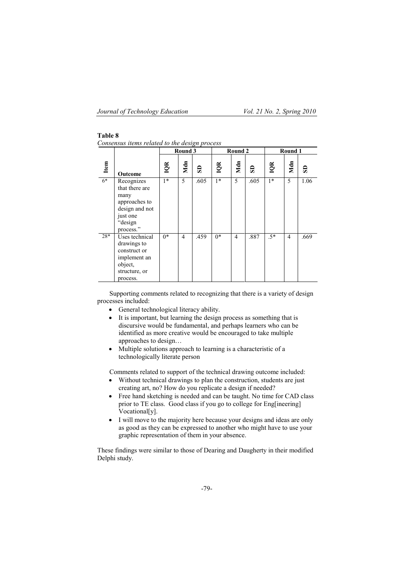# **Table 8**

*Consensus items related to the design process*

|       |                                                                                                             | Round 3 |     | Round 2      |      |     | Round 1 |       |     |      |
|-------|-------------------------------------------------------------------------------------------------------------|---------|-----|--------------|------|-----|---------|-------|-----|------|
| Item  | Outcome                                                                                                     | IQR     | Mdn | $\mathbf{s}$ | IQR  | Mdn | e       | IQR   | Mdn | S    |
| $6*$  | Recognizes<br>that there are<br>many<br>approaches to<br>design and not<br>just one<br>"design<br>process." | $1*$    | 5   | .605         | $1*$ | 5   | .605    | $1*$  | 5   | 1.06 |
| $28*$ | Uses technical<br>drawings to<br>construct or<br>implement an<br>object,<br>structure, or<br>process.       | $0*$    | 4   | .459         | $0*$ | 4   | .887    | $.5*$ | 4   | .669 |

Supporting comments related to recognizing that there is a variety of design processes included:

- General technological literacy ability.
- It is important, but learning the design process as something that is discursive would be fundamental, and perhaps learners who can be identified as more creative would be encouraged to take multiple approaches to design…
- Multiple solutions approach to learning is a characteristic of a technologically literate person

Comments related to support of the technical drawing outcome included:

- Without technical drawings to plan the construction, students are just creating art, no? How do you replicate a design if needed?
- Free hand sketching is needed and can be taught. No time for CAD class prior to TE class. Good class if you go to college for Eng[ineering] Vocational[y].
- I will move to the majority here because your designs and ideas are only as good as they can be expressed to another who might have to use your graphic representation of them in your absence.

These findings were similar to those of Dearing and Daugherty in their modified Delphi study.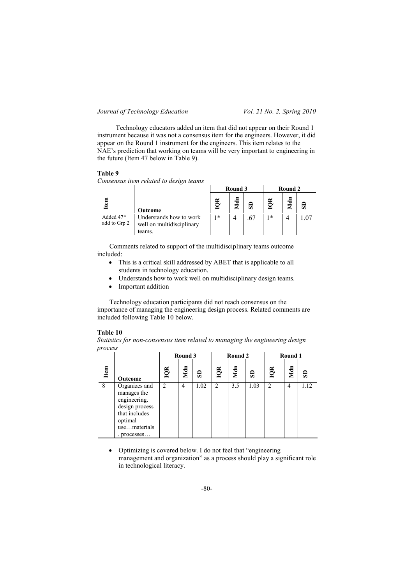Technology educators added an item that did not appear on their Round 1 instrument because it was not a consensus item for the engineers. However, it did appear on the Round 1 instrument for the engineers. This item relates to the NAE's prediction that working on teams will be very important to engineering in the future (Item 47 below in Table 9).

#### **Table 9**

*Consensus item related to design teams*

|                           |                                                                | Round 3   |     |    | Round 2 |   |     |
|---------------------------|----------------------------------------------------------------|-----------|-----|----|---------|---|-----|
| ltem                      | Outcome                                                        | $\approx$ | Mdn | SD | ≃       | 들 | සි  |
| Added 47*<br>add to Grp 2 | Understands how to work<br>well on multidisciplinary<br>teams. | $\ast$    | 4   |    | 1 *     |   | .07 |

Comments related to support of the multidisciplinary teams outcome included:

- This is a critical skill addressed by ABET that is applicable to all students in technology education.
- Understands how to work well on multidisciplinary design teams.
- Important addition

Technology education participants did not reach consensus on the importance of managing the engineering design process. Related comments are included following Table 10 below.

#### **Table 10**

*Statistics for non-consensus item related to managing the engineering design process*

|      |                                                                                                                         | Round 3                     |     | Round 2 |                |     | Round 1 |                |     |      |
|------|-------------------------------------------------------------------------------------------------------------------------|-----------------------------|-----|---------|----------------|-----|---------|----------------|-----|------|
| Item | Outcome                                                                                                                 | IQR                         | Mdn | SD      | IQR            | Mdn | සි      | IQR            | Mdn | SD   |
| 8    | Organizes and<br>manages the<br>engineering.<br>design process<br>that includes<br>optimal<br>usematerials<br>processes | $\mathcal{D}_{\mathcal{L}}$ | 4   | 1.02    | $\overline{2}$ | 3.5 | 1.03    | $\mathfrak{D}$ | 4   | 1.12 |

 Optimizing is covered below. I do not feel that "engineering management and organization" as a process should play a significant role in technological literacy.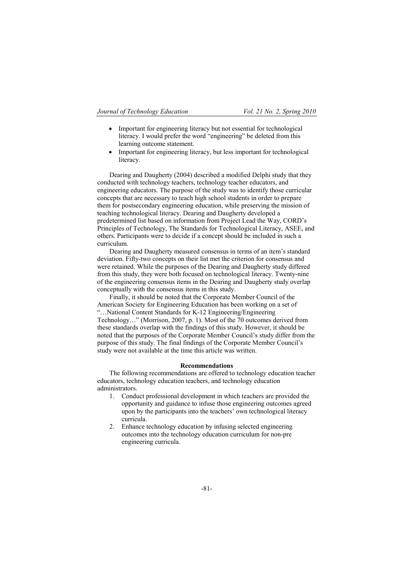- Important for engineering literacy but not essential for technological literacy. I would prefer the word "engineering" be deleted from this learning outcome statement.
- Important for engineering literacy, but less important for technological literacy.

Dearing and Daugherty (2004) described a modified Delphi study that they conducted with technology teachers, technology teacher educators, and engineering educators. The purpose of the study was to identify those curricular concepts that are necessary to teach high school students in order to prepare them for postsecondary engineering education, while preserving the mission of teaching technological literacy. Dearing and Daugherty developed a predetermined list based on information from Project Lead the Way, CORD's Principles of Technology, The Standards for Technological Literacy, ASEE, and others. Participants were to decide if a concept should be included in such a curriculum.

Dearing and Daugherty measured consensus in terms of an item's standard deviation. Fifty-two concepts on their list met the criterion for consensus and were retained. While the purposes of the Dearing and Daugherty study differed from this study, they were both focused on technological literacy. Twenty-nine of the engineering consensus items in the Dearing and Daugherty study overlap conceptually with the consensus items in this study.

Finally, it should be noted that the Corporate Member Council of the American Society for Engineering Education has been working on a set of "…National Content Standards for K-12 Engineering/Engineering Technology…" (Morrison, 2007, p. 1). Most of the 70 outcomes derived from these standards overlap with the findings of this study. However, it should be noted that the purposes of the Corporate Member Council's study differ from the purpose of this study. The final findings of the Corporate Member Council's study were not available at the time this article was written.

#### **Recommendations**

The following recommendations are offered to technology education teacher educators, technology education teachers, and technology education administrators.

- 1. Conduct professional development in which teachers are provided the opportunity and guidance to infuse those engineering outcomes agreed upon by the participants into the teachers' own technological literacy curricula.
- 2. Enhance technology education by infusing selected engineering outcomes into the technology education curriculum for non-pre engineering curricula.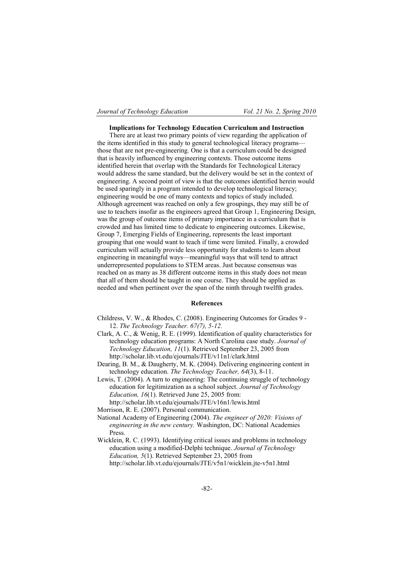#### **Implications for Technology Education Curriculum and Instruction**

There are at least two primary points of view regarding the application of the items identified in this study to general technological literacy programs those that are not pre-engineering. One is that a curriculum could be designed that is heavily influenced by engineering contexts. Those outcome items identified herein that overlap with the Standards for Technological Literacy would address the same standard, but the delivery would be set in the context of engineering. A second point of view is that the outcomes identified herein would be used sparingly in a program intended to develop technological literacy; engineering would be one of many contexts and topics of study included. Although agreement was reached on only a few groupings, they may still be of use to teachers insofar as the engineers agreed that Group 1, Engineering Design, was the group of outcome items of primary importance in a curriculum that is crowded and has limited time to dedicate to engineering outcomes. Likewise, Group 7, Emerging Fields of Engineering, represents the least important grouping that one would want to teach if time were limited. Finally, a crowded curriculum will actually provide less opportunity for students to learn about engineering in meaningful ways—meaningful ways that will tend to attract underrepresented populations to STEM areas. Just because consensus was reached on as many as 38 different outcome items in this study does not mean that all of them should be taught in one course. They should be applied as needed and when pertinent over the span of the ninth through twelfth grades.

#### **References**

- Childress, V. W., & Rhodes, C. (2008). Engineering Outcomes for Grades 9 12. *The Technology Teacher. 67(7), 5-12.*
- Clark, A. C., & Wenig, R. E. (1999). Identification of quality characteristics for technology education programs: A North Carolina case study. *Journal of Technology Education, 11*(1). Retrieved September 23, 2005 from http://scholar.lib.vt.edu/ejournals/JTE/v11n1/clark.html
- Dearing, B. M., & Daugherty, M. K. (2004). Delivering engineering content in technology education. *The Technology Teacher, 64*(3), 8-11.

Lewis, T. (2004). A turn to engineering: The continuing struggle of technology education for legitimization as a school subject. *Journal of Technology Education, 16*(1). Retrieved June 25, 2005 from:

http://scholar.lib.vt.edu/ejournals/JTE/v16n1/lewis.html

Morrison, R. E. (2007). Personal communication.

National Academy of Engineering (2004). *The engineer of 2020: Visions of engineering in the new century.* Washington, DC: National Academies Press.

Wicklein, R. C. (1993). Identifying critical issues and problems in technology education using a modified-Delphi technique. *Journal of Technology Education, 5*(1). Retrieved September 23, 2005 from http://scholar.lib.vt.edu/ejournals/JTE/v5n1/wicklein.jte-v5n1.html